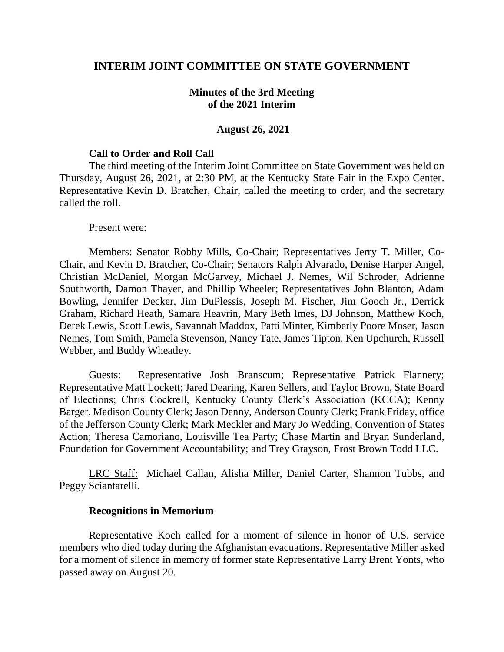## **INTERIM JOINT COMMITTEE ON STATE GOVERNMENT**

## **Minutes of the 3rd Meeting of the 2021 Interim**

#### **August 26, 2021**

#### **Call to Order and Roll Call**

The third meeting of the Interim Joint Committee on State Government was held on Thursday, August 26, 2021, at 2:30 PM, at the Kentucky State Fair in the Expo Center. Representative Kevin D. Bratcher, Chair, called the meeting to order, and the secretary called the roll.

#### Present were:

Members: Senator Robby Mills, Co-Chair; Representatives Jerry T. Miller, Co-Chair, and Kevin D. Bratcher, Co-Chair; Senators Ralph Alvarado, Denise Harper Angel, Christian McDaniel, Morgan McGarvey, Michael J. Nemes, Wil Schroder, Adrienne Southworth, Damon Thayer, and Phillip Wheeler; Representatives John Blanton, Adam Bowling, Jennifer Decker, Jim DuPlessis, Joseph M. Fischer, Jim Gooch Jr., Derrick Graham, Richard Heath, Samara Heavrin, Mary Beth Imes, DJ Johnson, Matthew Koch, Derek Lewis, Scott Lewis, Savannah Maddox, Patti Minter, Kimberly Poore Moser, Jason Nemes, Tom Smith, Pamela Stevenson, Nancy Tate, James Tipton, Ken Upchurch, Russell Webber, and Buddy Wheatley.

Guests: Representative Josh Branscum; Representative Patrick Flannery; Representative Matt Lockett; Jared Dearing, Karen Sellers, and Taylor Brown, State Board of Elections; Chris Cockrell, Kentucky County Clerk's Association (KCCA); Kenny Barger, Madison County Clerk; Jason Denny, Anderson County Clerk; Frank Friday, office of the Jefferson County Clerk; Mark Meckler and Mary Jo Wedding, Convention of States Action; Theresa Camoriano, Louisville Tea Party; Chase Martin and Bryan Sunderland, Foundation for Government Accountability; and Trey Grayson, Frost Brown Todd LLC.

LRC Staff: Michael Callan, Alisha Miller, Daniel Carter, Shannon Tubbs, and Peggy Sciantarelli.

### **Recognitions in Memorium**

Representative Koch called for a moment of silence in honor of U.S. service members who died today during the Afghanistan evacuations. Representative Miller asked for a moment of silence in memory of former state Representative Larry Brent Yonts, who passed away on August 20.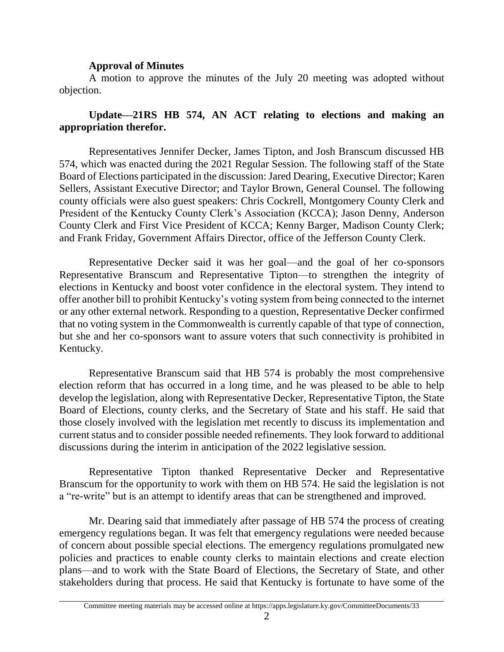## **Approval of Minutes**

A motion to approve the minutes of the July 20 meeting was adopted without objection.

# **Update—21RS HB 574, AN ACT relating to elections and making an appropriation therefor.**

Representatives Jennifer Decker, James Tipton, and Josh Branscum discussed HB 574, which was enacted during the 2021 Regular Session. The following staff of the State Board of Elections participated in the discussion: Jared Dearing, Executive Director; Karen Sellers, Assistant Executive Director; and Taylor Brown, General Counsel. The following county officials were also guest speakers: Chris Cockrell, Montgomery County Clerk and President of the Kentucky County Clerk's Association (KCCA); Jason Denny, Anderson County Clerk and First Vice President of KCCA; Kenny Barger, Madison County Clerk; and Frank Friday, Government Affairs Director, office of the Jefferson County Clerk.

Representative Decker said it was her goal—and the goal of her co-sponsors Representative Branscum and Representative Tipton—to strengthen the integrity of elections in Kentucky and boost voter confidence in the electoral system. They intend to offer another bill to prohibit Kentucky's voting system from being connected to the internet or any other external network. Responding to a question, Representative Decker confirmed that no voting system in the Commonwealth is currently capable of that type of connection, but she and her co-sponsors want to assure voters that such connectivity is prohibited in Kentucky.

Representative Branscum said that HB 574 is probably the most comprehensive election reform that has occurred in a long time, and he was pleased to be able to help develop the legislation, along with Representative Decker, Representative Tipton, the State Board of Elections, county clerks, and the Secretary of State and his staff. He said that those closely involved with the legislation met recently to discuss its implementation and current status and to consider possible needed refinements. They look forward to additional discussions during the interim in anticipation of the 2022 legislative session.

Representative Tipton thanked Representative Decker and Representative Branscum for the opportunity to work with them on HB 574. He said the legislation is not a "re-write" but is an attempt to identify areas that can be strengthened and improved.

Mr. Dearing said that immediately after passage of HB 574 the process of creating emergency regulations began. It was felt that emergency regulations were needed because of concern about possible special elections. The emergency regulations promulgated new policies and practices to enable county clerks to maintain elections and create election plans—and to work with the State Board of Elections, the Secretary of State, and other stakeholders during that process. He said that Kentucky is fortunate to have some of the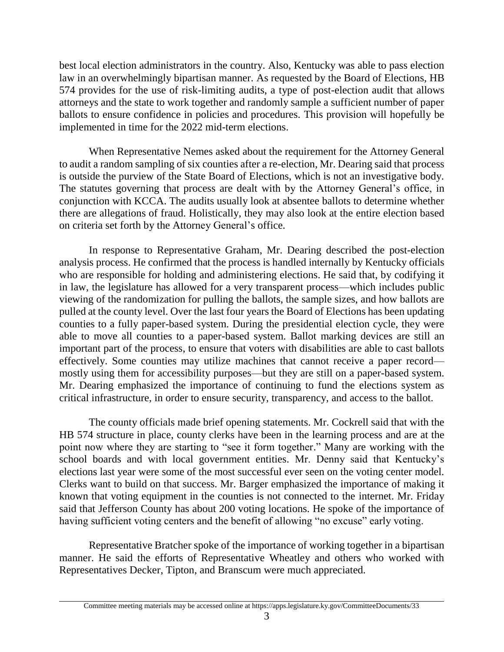best local election administrators in the country. Also, Kentucky was able to pass election law in an overwhelmingly bipartisan manner. As requested by the Board of Elections, HB 574 provides for the use of risk-limiting audits, a type of post-election audit that allows attorneys and the state to work together and randomly sample a sufficient number of paper ballots to ensure confidence in policies and procedures. This provision will hopefully be implemented in time for the 2022 mid-term elections.

When Representative Nemes asked about the requirement for the Attorney General to audit a random sampling of six counties after a re-election, Mr. Dearing said that process is outside the purview of the State Board of Elections, which is not an investigative body. The statutes governing that process are dealt with by the Attorney General's office, in conjunction with KCCA. The audits usually look at absentee ballots to determine whether there are allegations of fraud. Holistically, they may also look at the entire election based on criteria set forth by the Attorney General's office.

In response to Representative Graham, Mr. Dearing described the post-election analysis process. He confirmed that the process is handled internally by Kentucky officials who are responsible for holding and administering elections. He said that, by codifying it in law, the legislature has allowed for a very transparent process—which includes public viewing of the randomization for pulling the ballots, the sample sizes, and how ballots are pulled at the county level. Over the last four years the Board of Elections has been updating counties to a fully paper-based system. During the presidential election cycle, they were able to move all counties to a paper-based system. Ballot marking devices are still an important part of the process, to ensure that voters with disabilities are able to cast ballots effectively. Some counties may utilize machines that cannot receive a paper record mostly using them for accessibility purposes—but they are still on a paper-based system. Mr. Dearing emphasized the importance of continuing to fund the elections system as critical infrastructure, in order to ensure security, transparency, and access to the ballot.

The county officials made brief opening statements. Mr. Cockrell said that with the HB 574 structure in place, county clerks have been in the learning process and are at the point now where they are starting to "see it form together." Many are working with the school boards and with local government entities. Mr. Denny said that Kentucky's elections last year were some of the most successful ever seen on the voting center model. Clerks want to build on that success. Mr. Barger emphasized the importance of making it known that voting equipment in the counties is not connected to the internet. Mr. Friday said that Jefferson County has about 200 voting locations. He spoke of the importance of having sufficient voting centers and the benefit of allowing "no excuse" early voting.

Representative Bratcher spoke of the importance of working together in a bipartisan manner. He said the efforts of Representative Wheatley and others who worked with Representatives Decker, Tipton, and Branscum were much appreciated.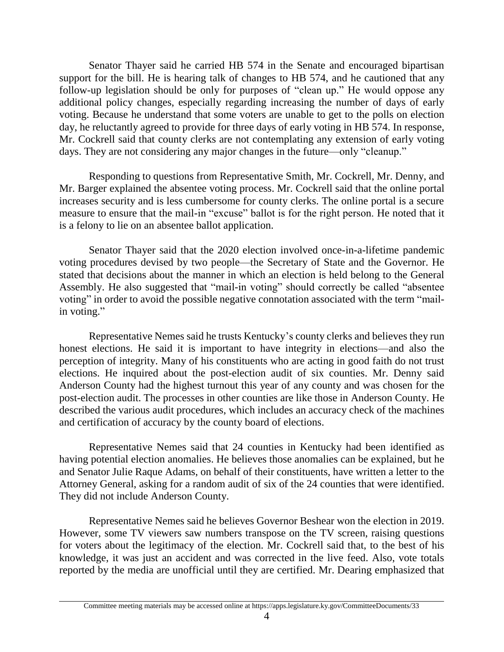Senator Thayer said he carried HB 574 in the Senate and encouraged bipartisan support for the bill. He is hearing talk of changes to HB 574, and he cautioned that any follow-up legislation should be only for purposes of "clean up." He would oppose any additional policy changes, especially regarding increasing the number of days of early voting. Because he understand that some voters are unable to get to the polls on election day, he reluctantly agreed to provide for three days of early voting in HB 574. In response, Mr. Cockrell said that county clerks are not contemplating any extension of early voting days. They are not considering any major changes in the future—only "cleanup."

Responding to questions from Representative Smith, Mr. Cockrell, Mr. Denny, and Mr. Barger explained the absentee voting process. Mr. Cockrell said that the online portal increases security and is less cumbersome for county clerks. The online portal is a secure measure to ensure that the mail-in "excuse" ballot is for the right person. He noted that it is a felony to lie on an absentee ballot application.

Senator Thayer said that the 2020 election involved once-in-a-lifetime pandemic voting procedures devised by two people—the Secretary of State and the Governor. He stated that decisions about the manner in which an election is held belong to the General Assembly. He also suggested that "mail-in voting" should correctly be called "absentee voting" in order to avoid the possible negative connotation associated with the term "mailin voting."

Representative Nemes said he trusts Kentucky's county clerks and believes they run honest elections. He said it is important to have integrity in elections—and also the perception of integrity. Many of his constituents who are acting in good faith do not trust elections. He inquired about the post-election audit of six counties. Mr. Denny said Anderson County had the highest turnout this year of any county and was chosen for the post-election audit. The processes in other counties are like those in Anderson County. He described the various audit procedures, which includes an accuracy check of the machines and certification of accuracy by the county board of elections.

Representative Nemes said that 24 counties in Kentucky had been identified as having potential election anomalies. He believes those anomalies can be explained, but he and Senator Julie Raque Adams, on behalf of their constituents, have written a letter to the Attorney General, asking for a random audit of six of the 24 counties that were identified. They did not include Anderson County.

Representative Nemes said he believes Governor Beshear won the election in 2019. However, some TV viewers saw numbers transpose on the TV screen, raising questions for voters about the legitimacy of the election. Mr. Cockrell said that, to the best of his knowledge, it was just an accident and was corrected in the live feed. Also, vote totals reported by the media are unofficial until they are certified. Mr. Dearing emphasized that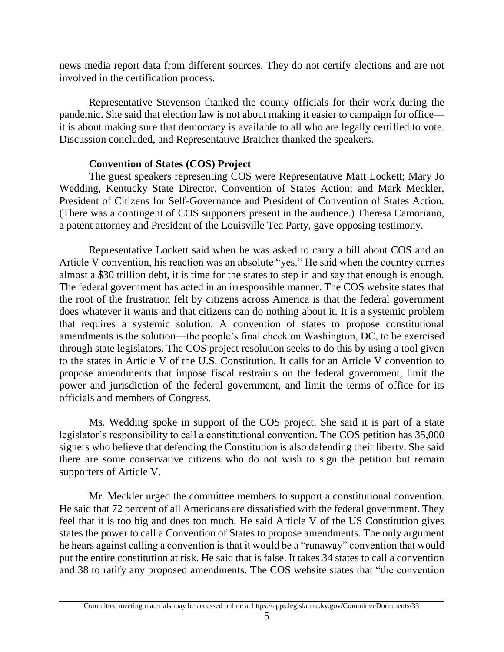news media report data from different sources. They do not certify elections and are not involved in the certification process.

Representative Stevenson thanked the county officials for their work during the pandemic. She said that election law is not about making it easier to campaign for office it is about making sure that democracy is available to all who are legally certified to vote. Discussion concluded, and Representative Bratcher thanked the speakers.

## **Convention of States (COS) Project**

The guest speakers representing COS were Representative Matt Lockett; Mary Jo Wedding, Kentucky State Director, Convention of States Action; and Mark Meckler, President of Citizens for Self-Governance and President of Convention of States Action. (There was a contingent of COS supporters present in the audience.) Theresa Camoriano, a patent attorney and President of the Louisville Tea Party, gave opposing testimony.

Representative Lockett said when he was asked to carry a bill about COS and an Article V convention, his reaction was an absolute "yes." He said when the country carries almost a \$30 trillion debt, it is time for the states to step in and say that enough is enough. The federal government has acted in an irresponsible manner. The COS website states that the root of the frustration felt by citizens across America is that the federal government does whatever it wants and that citizens can do nothing about it. It is a systemic problem that requires a systemic solution. A convention of states to propose constitutional amendments is the solution—the people's final check on Washington, DC, to be exercised through state legislators. The COS project resolution seeks to do this by using a tool given to the states in Article V of the U.S. Constitution. It calls for an Article V convention to propose amendments that impose fiscal restraints on the federal government, limit the power and jurisdiction of the federal government, and limit the terms of office for its officials and members of Congress.

Ms. Wedding spoke in support of the COS project. She said it is part of a state legislator's responsibility to call a constitutional convention. The COS petition has 35,000 signers who believe that defending the Constitution is also defending their liberty. She said there are some conservative citizens who do not wish to sign the petition but remain supporters of Article V.

Mr. Meckler urged the committee members to support a constitutional convention. He said that 72 percent of all Americans are dissatisfied with the federal government. They feel that it is too big and does too much. He said Article V of the US Constitution gives states the power to call a Convention of States to propose amendments. The only argument he hears against calling a convention is that it would be a "runaway" convention that would put the entire constitution at risk. He said that is false. It takes 34 states to call a convention and 38 to ratify any proposed amendments. The COS website states that "the convention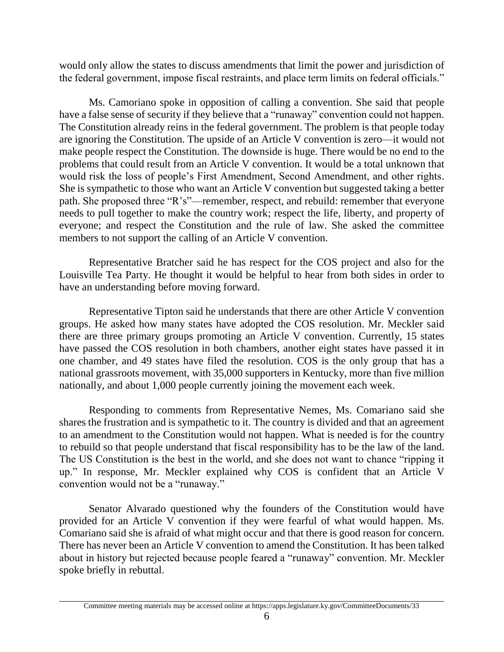would only allow the states to discuss amendments that limit the power and jurisdiction of the federal government, impose fiscal restraints, and place term limits on federal officials."

Ms. Camoriano spoke in opposition of calling a convention. She said that people have a false sense of security if they believe that a "runaway" convention could not happen. The Constitution already reins in the federal government. The problem is that people today are ignoring the Constitution. The upside of an Article V convention is zero—it would not make people respect the Constitution. The downside is huge. There would be no end to the problems that could result from an Article V convention. It would be a total unknown that would risk the loss of people's First Amendment, Second Amendment, and other rights. She is sympathetic to those who want an Article V convention but suggested taking a better path. She proposed three "R's"—remember, respect, and rebuild: remember that everyone needs to pull together to make the country work; respect the life, liberty, and property of everyone; and respect the Constitution and the rule of law. She asked the committee members to not support the calling of an Article V convention.

Representative Bratcher said he has respect for the COS project and also for the Louisville Tea Party. He thought it would be helpful to hear from both sides in order to have an understanding before moving forward.

Representative Tipton said he understands that there are other Article V convention groups. He asked how many states have adopted the COS resolution. Mr. Meckler said there are three primary groups promoting an Article V convention. Currently, 15 states have passed the COS resolution in both chambers, another eight states have passed it in one chamber, and 49 states have filed the resolution. COS is the only group that has a national grassroots movement, with 35,000 supporters in Kentucky, more than five million nationally, and about 1,000 people currently joining the movement each week.

Responding to comments from Representative Nemes, Ms. Comariano said she shares the frustration and is sympathetic to it. The country is divided and that an agreement to an amendment to the Constitution would not happen. What is needed is for the country to rebuild so that people understand that fiscal responsibility has to be the law of the land. The US Constitution is the best in the world, and she does not want to chance "ripping it up." In response, Mr. Meckler explained why COS is confident that an Article V convention would not be a "runaway."

Senator Alvarado questioned why the founders of the Constitution would have provided for an Article V convention if they were fearful of what would happen. Ms. Comariano said she is afraid of what might occur and that there is good reason for concern. There has never been an Article V convention to amend the Constitution. It has been talked about in history but rejected because people feared a "runaway" convention. Mr. Meckler spoke briefly in rebuttal.

Committee meeting materials may be accessed online at https://apps.legislature.ky.gov/CommitteeDocuments/33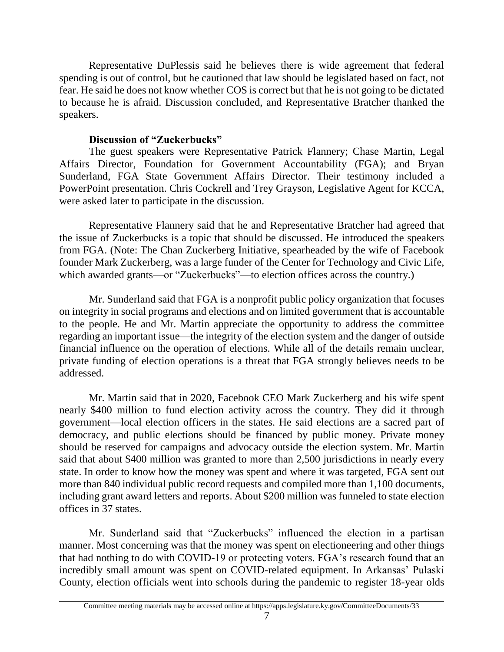Representative DuPlessis said he believes there is wide agreement that federal spending is out of control, but he cautioned that law should be legislated based on fact, not fear. He said he does not know whether COS is correct but that he is not going to be dictated to because he is afraid. Discussion concluded, and Representative Bratcher thanked the speakers.

## **Discussion of "Zuckerbucks"**

The guest speakers were Representative Patrick Flannery; Chase Martin, Legal Affairs Director, Foundation for Government Accountability (FGA); and Bryan Sunderland, FGA State Government Affairs Director. Their testimony included a PowerPoint presentation. Chris Cockrell and Trey Grayson, Legislative Agent for KCCA, were asked later to participate in the discussion.

Representative Flannery said that he and Representative Bratcher had agreed that the issue of Zuckerbucks is a topic that should be discussed. He introduced the speakers from FGA. (Note: The Chan Zuckerberg Initiative, spearheaded by the wife of Facebook founder Mark Zuckerberg, was a large funder of the Center for Technology and Civic Life, which awarded grants—or "Zuckerbucks"—to election offices across the country.)

Mr. Sunderland said that FGA is a nonprofit public policy organization that focuses on integrity in social programs and elections and on limited government that is accountable to the people. He and Mr. Martin appreciate the opportunity to address the committee regarding an important issue—the integrity of the election system and the danger of outside financial influence on the operation of elections. While all of the details remain unclear, private funding of election operations is a threat that FGA strongly believes needs to be addressed.

Mr. Martin said that in 2020, Facebook CEO Mark Zuckerberg and his wife spent nearly \$400 million to fund election activity across the country. They did it through government—local election officers in the states. He said elections are a sacred part of democracy, and public elections should be financed by public money. Private money should be reserved for campaigns and advocacy outside the election system. Mr. Martin said that about \$400 million was granted to more than 2,500 jurisdictions in nearly every state. In order to know how the money was spent and where it was targeted, FGA sent out more than 840 individual public record requests and compiled more than 1,100 documents, including grant award letters and reports. About \$200 million was funneled to state election offices in 37 states.

Mr. Sunderland said that "Zuckerbucks" influenced the election in a partisan manner. Most concerning was that the money was spent on electioneering and other things that had nothing to do with COVID-19 or protecting voters. FGA's research found that an incredibly small amount was spent on COVID-related equipment. In Arkansas' Pulaski County, election officials went into schools during the pandemic to register 18-year olds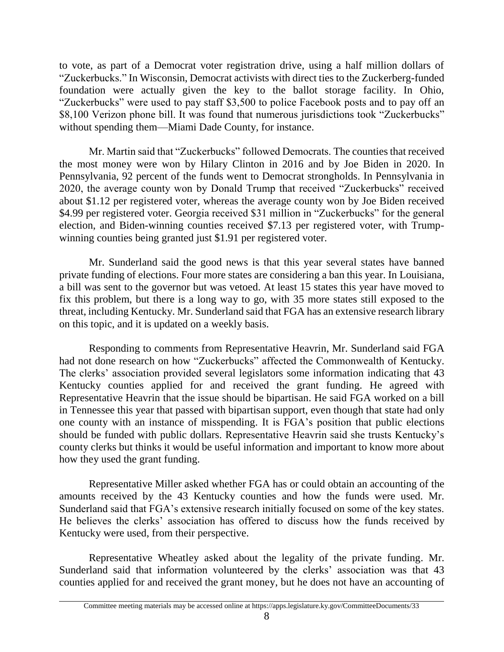to vote, as part of a Democrat voter registration drive, using a half million dollars of "Zuckerbucks." In Wisconsin, Democrat activists with direct ties to the Zuckerberg-funded foundation were actually given the key to the ballot storage facility. In Ohio, "Zuckerbucks" were used to pay staff \$3,500 to police Facebook posts and to pay off an \$8,100 Verizon phone bill. It was found that numerous jurisdictions took "Zuckerbucks" without spending them—Miami Dade County, for instance.

Mr. Martin said that "Zuckerbucks" followed Democrats. The counties that received the most money were won by Hilary Clinton in 2016 and by Joe Biden in 2020. In Pennsylvania, 92 percent of the funds went to Democrat strongholds. In Pennsylvania in 2020, the average county won by Donald Trump that received "Zuckerbucks" received about \$1.12 per registered voter, whereas the average county won by Joe Biden received \$4.99 per registered voter. Georgia received \$31 million in "Zuckerbucks" for the general election, and Biden-winning counties received \$7.13 per registered voter, with Trumpwinning counties being granted just \$1.91 per registered voter.

Mr. Sunderland said the good news is that this year several states have banned private funding of elections. Four more states are considering a ban this year. In Louisiana, a bill was sent to the governor but was vetoed. At least 15 states this year have moved to fix this problem, but there is a long way to go, with 35 more states still exposed to the threat, including Kentucky. Mr. Sunderland said that FGA has an extensive research library on this topic, and it is updated on a weekly basis.

Responding to comments from Representative Heavrin, Mr. Sunderland said FGA had not done research on how "Zuckerbucks" affected the Commonwealth of Kentucky. The clerks' association provided several legislators some information indicating that 43 Kentucky counties applied for and received the grant funding. He agreed with Representative Heavrin that the issue should be bipartisan. He said FGA worked on a bill in Tennessee this year that passed with bipartisan support, even though that state had only one county with an instance of misspending. It is FGA's position that public elections should be funded with public dollars. Representative Heavrin said she trusts Kentucky's county clerks but thinks it would be useful information and important to know more about how they used the grant funding.

Representative Miller asked whether FGA has or could obtain an accounting of the amounts received by the 43 Kentucky counties and how the funds were used. Mr. Sunderland said that FGA's extensive research initially focused on some of the key states. He believes the clerks' association has offered to discuss how the funds received by Kentucky were used, from their perspective.

Representative Wheatley asked about the legality of the private funding. Mr. Sunderland said that information volunteered by the clerks' association was that 43 counties applied for and received the grant money, but he does not have an accounting of

8